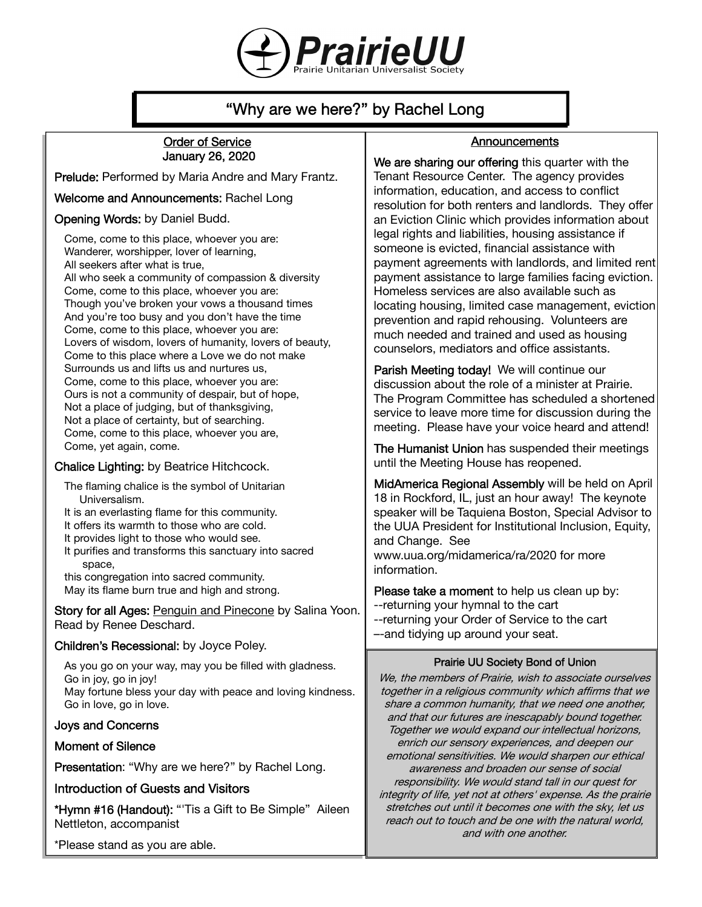

# "Why are we here?" by Rachel Long

#### Order of Service January 26, 2020

Prelude: Performed by Maria Andre and Mary Frantz.

Welcome and Announcements: Rachel Long

#### Opening Words: by Daniel Budd.

Come, come to this place, whoever you are: Wanderer, worshipper, lover of learning, All seekers after what is true, All who seek a community of compassion & diversity Come, come to this place, whoever you are: Though you've broken your vows a thousand times And you're too busy and you don't have the time Come, come to this place, whoever you are: Lovers of wisdom, lovers of humanity, lovers of beauty, Come to this place where a Love we do not make Surrounds us and lifts us and nurtures us, Come, come to this place, whoever you are: Ours is not a community of despair, but of hope, Not a place of judging, but of thanksgiving, Not a place of certainty, but of searching. Come, come to this place, whoever you are, Come, yet again, come.

#### Chalice Lighting: by Beatrice Hitchcock.

The flaming chalice is the symbol of Unitarian Universalism.

It is an everlasting flame for this community. It offers its warmth to those who are cold.

It provides light to those who would see.

It purifies and transforms this sanctuary into sacred space,

this congregation into sacred community. May its flame burn true and high and strong.

Story for all Ages: Penguin and Pinecone by Salina Yoon. Read by Renee Deschard.

#### Children's Recessional: by Joyce Poley.

As you go on your way, may you be filled with gladness. Go in joy, go in joy! May fortune bless your day with peace and loving kindness. Go in love, go in love.

#### Joys and Concerns

## Moment of Silence

Presentation: "Why are we here?" by Rachel Long.

## Introduction of Guests and Visitors

\*Hymn #16 (Handout): "'Tis a Gift to Be Simple" Aileen Nettleton, accompanist

\*Please stand as you are able.

# **Announcements**

We are sharing our offering this quarter with the Tenant Resource Center. The agency provides information, education, and access to conflict resolution for both renters and landlords. They offer an Eviction Clinic which provides information about legal rights and liabilities, housing assistance if someone is evicted, financial assistance with payment agreements with landlords, and limited rent payment assistance to large families facing eviction. Homeless services are also available such as locating housing, limited case management, eviction prevention and rapid rehousing. Volunteers are much needed and trained and used as housing counselors, mediators and office assistants.

Parish Meeting today! We will continue our discussion about the role of a minister at Prairie. The Program Committee has scheduled a shortened service to leave more time for discussion during the meeting. Please have your voice heard and attend!

The Humanist Union has suspended their meetings until the Meeting House has reopened.

MidAmerica Regional Assembly will be held on April 18 in Rockford, IL, just an hour away! The keynote speaker will be Taquiena Boston, Special Advisor to the UUA President for Institutional Inclusion, Equity, and Change. See

www.uua.org/midamerica/ra/2020 for more information.

Please take a moment to help us clean up by: --returning your hymnal to the cart --returning your Order of Service to the cart –-and tidying up around your seat.

#### Prairie UU Society Bond of Union

We, the members of Prairie, wish to associate ourselves together in a religious community which affirms that we share a common humanity, that we need one another, and that our futures are inescapably bound together. Together we would expand our intellectual horizons, enrich our sensory experiences, and deepen our emotional sensitivities. We would sharpen our ethical awareness and broaden our sense of social responsibility. We would stand tall in our quest for integrity of life, yet not at others' expense. As the prairie stretches out until it becomes one with the sky, let us reach out to touch and be one with the natural world, and with one another.